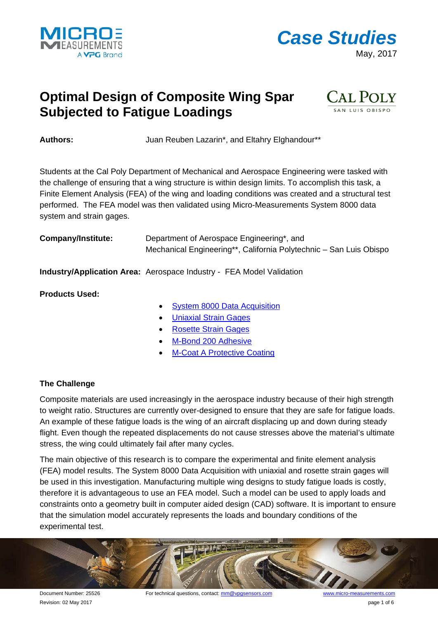



## **Optimal Design of Composite Wing Spar Subjected to Fatigue Loadings**



Authors: **Authors:** Juan Reuben Lazarin\*, and Eltahry Elghandour\*\*

Students at the Cal Poly Department of Mechanical and Aerospace Engineering were tasked with the challenge of ensuring that a wing structure is within design limits. To accomplish this task, a Finite Element Analysis (FEA) of the wing and loading conditions was created and a structural test performed. The FEA model was then validated using Micro-Measurements System 8000 data system and strain gages.

| <b>Company/Institute:</b> | Department of Aerospace Engineering*, and                          |
|---------------------------|--------------------------------------------------------------------|
|                           | Mechanical Engineering**, California Polytechnic – San Luis Obispo |

**Industry/Application Area:** Aerospace Industry - FEA Model Validation

**Products Used:**

- [System 8000 Data Acquisition](http://www.micro-measurements.com/instruments/system-8000/)
- Uniaxial [Strain Gages](http://www.micro-measurements.com/stress-analysis-strain-gages/knowledge-base-list/)
- [Rosette Strain Gages](http://www.micro-measurements.com/stress-analysis-strain-gages/knowledge-base-list/)
- [M-Bond 200 Adhesive](http://www.micro-measurements.com/installation-accessories/)
- **[M-Coat A Protective Coating](http://www.micro-measurements.com/installation-accessories/)**

### **The Challenge**

Composite materials are used increasingly in the aerospace industry because of their high strength to weight ratio. Structures are currently over-designed to ensure that they are safe for fatigue loads. An example of these fatigue loads is the wing of an aircraft displacing up and down during steady flight. Even though the repeated displacements do not cause stresses above the material's ultimate stress, the wing could ultimately fail after many cycles.

The main objective of this research is to compare the experimental and finite element analysis (FEA) model results. The System 8000 Data Acquisition with uniaxial and rosette strain gages will be used in this investigation. Manufacturing multiple wing designs to study fatigue loads is costly, therefore it is advantageous to use an FEA model. Such a model can be used to apply loads and constraints onto a geometry built in computer aided design (CAD) software. It is important to ensure that the simulation model accurately represents the loads and boundary conditions of the experimental test.



Revision: 02 May 2017 **page 1 of 6**  $\overline{a}$  and  $\overline{b}$  and  $\overline{b}$  and  $\overline{b}$  and  $\overline{b}$  and  $\overline{b}$  and  $\overline{b}$  and  $\overline{b}$  and  $\overline{b}$  and  $\overline{b}$  and  $\overline{b}$  and  $\overline{b}$  and  $\overline{b}$  and  $\overline{b}$  and  $\overline$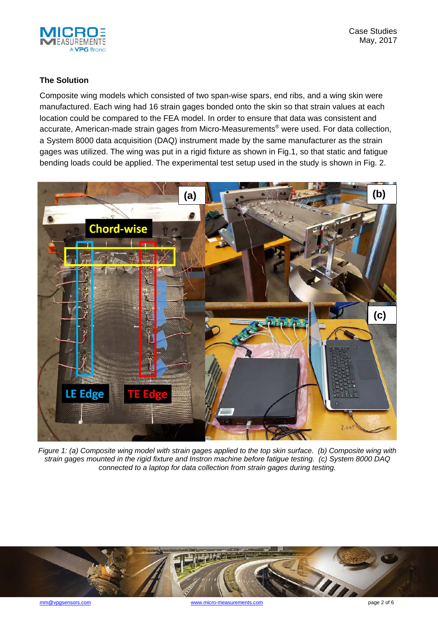

#### **The Solution**

Composite wing models which consisted of two span-wise spars, end ribs, and a wing skin were manufactured. Each wing had 16 strain gages bonded onto the skin so that strain values at each location could be compared to the FEA model. In order to ensure that data was consistent and accurate, American-made strain gages from Micro-Measurements® were used. For data collection, a System 8000 data acquisition (DAQ) instrument made by the same manufacturer as the strain gages was utilized. The wing was put in a rigid fixture as shown in Fig.1, so that static and fatigue bending loads could be applied. The experimental test setup used in the study is shown in Fig. 2.



*Figure 1: (a) Composite wing model with strain gages applied to the top skin surface. (b) Composite wing with strain gages mounted in the rigid fixture and Instron machine before fatigue testing. (c) System 8000 DAQ connected to a laptop for data collection from strain gages during testing.*

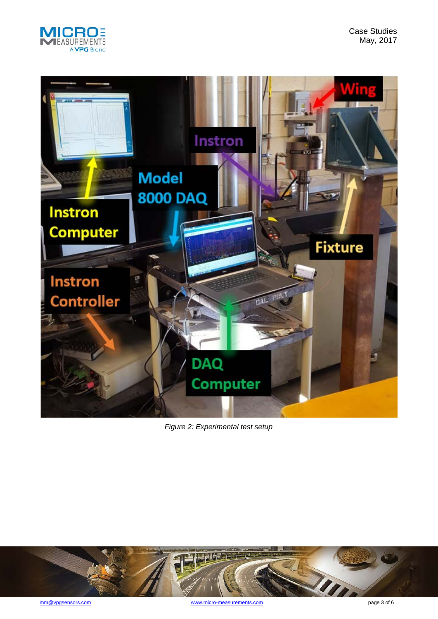

Case Studies May, 2017



*Figure 2: Experimental test setup*

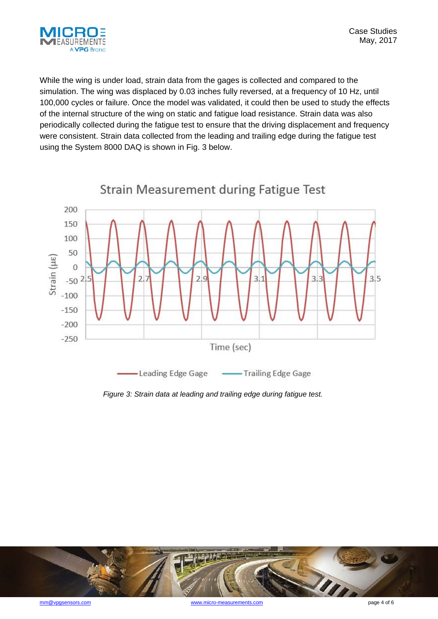

While the wing is under load, strain data from the gages is collected and compared to the simulation. The wing was displaced by 0.03 inches fully reversed, at a frequency of 10 Hz, until 100,000 cycles or failure. Once the model was validated, it could then be used to study the effects of the internal structure of the wing on static and fatigue load resistance. Strain data was also periodically collected during the fatigue test to ensure that the driving displacement and frequency were consistent. Strain data collected from the leading and trailing edge during the fatigue test using the System 8000 DAQ is shown in Fig. 3 below.



*Figure 3: Strain data at leading and trailing edge during fatigue test.*

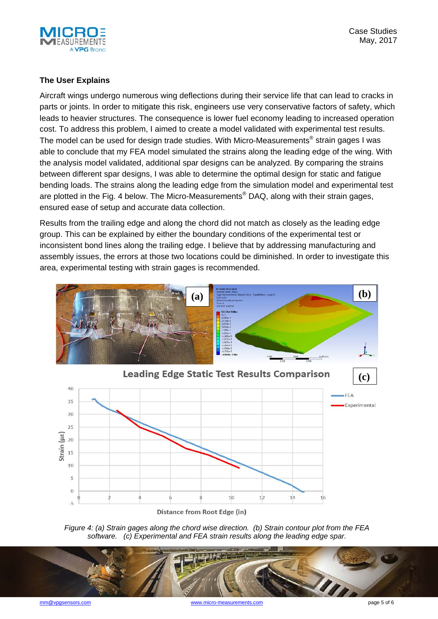

#### **The User Explains**

Aircraft wings undergo numerous wing deflections during their service life that can lead to cracks in parts or joints. In order to mitigate this risk, engineers use very conservative factors of safety, which leads to heavier structures. The consequence is lower fuel economy leading to increased operation cost. To address this problem, I aimed to create a model validated with experimental test results. The model can be used for design trade studies. With Micro-Measurements® strain gages I was able to conclude that my FEA model simulated the strains along the leading edge of the wing. With the analysis model validated, additional spar designs can be analyzed. By comparing the strains between different spar designs, I was able to determine the optimal design for static and fatigue bending loads. The strains along the leading edge from the simulation model and experimental test are plotted in the Fig. 4 below. The Micro-Measurements<sup>®</sup> DAQ, along with their strain gages, ensured ease of setup and accurate data collection.

Results from the trailing edge and along the chord did not match as closely as the leading edge group. This can be explained by either the boundary conditions of the experimental test or inconsistent bond lines along the trailing edge. I believe that by addressing manufacturing and assembly issues, the errors at those two locations could be diminished. In order to investigate this area, experimental testing with strain gages is recommended.





*Figure 4: (a) Strain gages along the chord wise direction. (b) Strain contour plot from the FEA software. (c) Experimental and FEA strain results along the leading edge spar.*